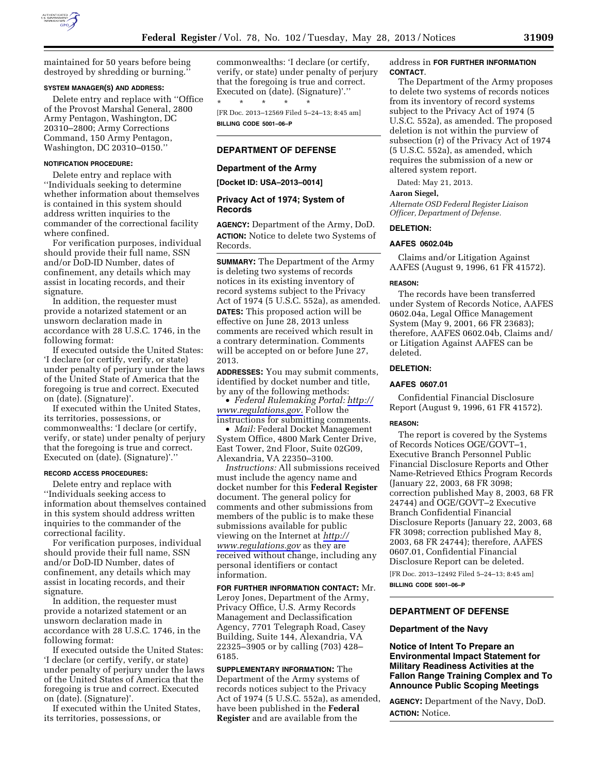

maintained for 50 years before being destroyed by shredding or burning.''

#### **SYSTEM MANAGER(S) AND ADDRESS:**

Delete entry and replace with ''Office of the Provost Marshal General, 2800 Army Pentagon, Washington, DC 20310–2800; Army Corrections Command, 150 Army Pentagon, Washington, DC 20310–0150.''

#### **NOTIFICATION PROCEDURE:**

Delete entry and replace with ''Individuals seeking to determine whether information about themselves is contained in this system should address written inquiries to the commander of the correctional facility where confined.

For verification purposes, individual should provide their full name, SSN and/or DoD-ID Number, dates of confinement, any details which may assist in locating records, and their signature.

In addition, the requester must provide a notarized statement or an unsworn declaration made in accordance with 28 U.S.C. 1746, in the following format:

If executed outside the United States: 'I declare (or certify, verify, or state) under penalty of perjury under the laws of the United State of America that the foregoing is true and correct. Executed on (date). (Signature)'.

If executed within the United States, its territories, possessions, or commonwealths: 'I declare (or certify, verify, or state) under penalty of perjury that the foregoing is true and correct. Executed on (date). (Signature)'.''

#### **RECORD ACCESS PROCEDURES:**

Delete entry and replace with ''Individuals seeking access to information about themselves contained in this system should address written inquiries to the commander of the correctional facility.

For verification purposes, individual should provide their full name, SSN and/or DoD-ID Number, dates of confinement, any details which may assist in locating records, and their signature.

In addition, the requester must provide a notarized statement or an unsworn declaration made in accordance with 28 U.S.C. 1746, in the following format:

If executed outside the United States: 'I declare (or certify, verify, or state) under penalty of perjury under the laws of the United States of America that the foregoing is true and correct. Executed on (date). (Signature)'.

If executed within the United States, its territories, possessions, or

commonwealths: 'I declare (or certify, verify, or state) under penalty of perjury that the foregoing is true and correct. Executed on (date). (Signature)'.''

\* \* \* \* \* [FR Doc. 2013–12569 Filed 5–24–13; 8:45 am] **BILLING CODE 5001–06–P** 

## **DEPARTMENT OF DEFENSE**

#### **Department of the Army**

**[Docket ID: USA–2013–0014]** 

### **Privacy Act of 1974; System of Records**

**AGENCY:** Department of the Army, DoD. **ACTION:** Notice to delete two Systems of Records.

**SUMMARY:** The Department of the Army is deleting two systems of records notices in its existing inventory of record systems subject to the Privacy Act of 1974 (5 U.S.C. 552a), as amended. **DATES:** This proposed action will be effective on June 28, 2013 unless comments are received which result in a contrary determination. Comments will be accepted on or before June 27, 2013.

**ADDRESSES:** You may submit comments, identified by docket number and title, by any of the following methods:

• *Federal Rulemaking Portal: [http://](http://www.regulations.gov) [www.regulations.gov.](http://www.regulations.gov)* Follow the instructions for submitting comments.

• *Mail:* Federal Docket Management System Office, 4800 Mark Center Drive, East Tower, 2nd Floor, Suite 02G09, Alexandria, VA 22350–3100.

*Instructions:* All submissions received must include the agency name and docket number for this **Federal Register**  document. The general policy for comments and other submissions from members of the public is to make these submissions available for public viewing on the Internet at *[http://](http://www.regulations.gov) [www.regulations.gov](http://www.regulations.gov)* as they are received without change, including any personal identifiers or contact information.

**FOR FURTHER INFORMATION CONTACT:** Mr. Leroy Jones, Department of the Army, Privacy Office, U.S. Army Records Management and Declassification Agency, 7701 Telegraph Road, Casey Building, Suite 144, Alexandria, VA 22325–3905 or by calling (703) 428– 6185.

**SUPPLEMENTARY INFORMATION:** The Department of the Army systems of records notices subject to the Privacy Act of 1974 (5 U.S.C. 552a), as amended, have been published in the **Federal Register** and are available from the

address in **FOR FURTHER INFORMATION CONTACT**.

The Department of the Army proposes to delete two systems of records notices from its inventory of record systems subject to the Privacy Act of 1974 (5 U.S.C. 552a), as amended. The proposed deletion is not within the purview of subsection (r) of the Privacy Act of 1974 (5 U.S.C. 552a), as amended, which requires the submission of a new or altered system report.

Dated: May 21, 2013.

### **Aaron Siegel,**

*Alternate OSD Federal Register Liaison Officer, Department of Defense.* 

#### **DELETION:**

#### **AAFES 0602.04b**

Claims and/or Litigation Against AAFES (August 9, 1996, 61 FR 41572).

#### **REASON:**

The records have been transferred under System of Records Notice, AAFES 0602.04a, Legal Office Management System (May 9, 2001, 66 FR 23683); therefore, AAFES 0602.04b, Claims and/ or Litigation Against AAFES can be deleted.

### **DELETION:**

### **AAFES 0607.01**

Confidential Financial Disclosure Report (August 9, 1996, 61 FR 41572).

#### **REASON:**

The report is covered by the Systems of Records Notices OGE/GOVT–1, Executive Branch Personnel Public Financial Disclosure Reports and Other Name-Retrieved Ethics Program Records (January 22, 2003, 68 FR 3098; correction published May 8, 2003, 68 FR 24744) and OGE/GOVT–2 Executive Branch Confidential Financial Disclosure Reports (January 22, 2003, 68 FR 3098; correction published May 8, 2003, 68 FR 24744); therefore, AAFES 0607.01, Confidential Financial Disclosure Report can be deleted.

[FR Doc. 2013–12492 Filed 5–24–13; 8:45 am]

**BILLING CODE 5001–06–P** 

#### **DEPARTMENT OF DEFENSE**

#### **Department of the Navy**

**Notice of Intent To Prepare an Environmental Impact Statement for Military Readiness Activities at the Fallon Range Training Complex and To Announce Public Scoping Meetings** 

**AGENCY:** Department of the Navy, DoD. **ACTION:** Notice.